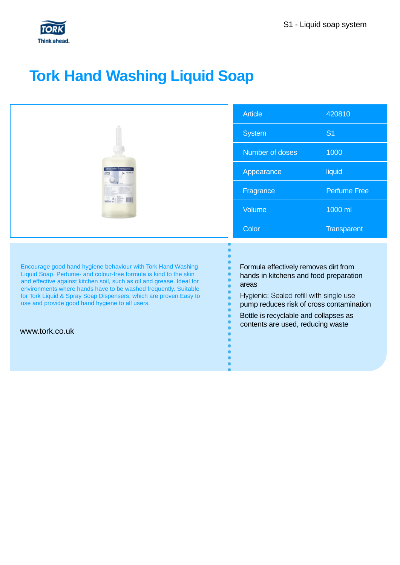

## **Tork Hand Washing Liquid Soap**

|                                                                                                                                                                                                                                                                                                                                                                                                                         | <b>Article</b>                                                                                                                                                                                                                                                | 420810              |
|-------------------------------------------------------------------------------------------------------------------------------------------------------------------------------------------------------------------------------------------------------------------------------------------------------------------------------------------------------------------------------------------------------------------------|---------------------------------------------------------------------------------------------------------------------------------------------------------------------------------------------------------------------------------------------------------------|---------------------|
|                                                                                                                                                                                                                                                                                                                                                                                                                         | <b>System</b>                                                                                                                                                                                                                                                 | S <sub>1</sub>      |
|                                                                                                                                                                                                                                                                                                                                                                                                                         | Number of doses                                                                                                                                                                                                                                               | 1000                |
|                                                                                                                                                                                                                                                                                                                                                                                                                         | Appearance                                                                                                                                                                                                                                                    | liquid              |
|                                                                                                                                                                                                                                                                                                                                                                                                                         | Fragrance                                                                                                                                                                                                                                                     | <b>Perfume Free</b> |
|                                                                                                                                                                                                                                                                                                                                                                                                                         | Volume                                                                                                                                                                                                                                                        | 1000 ml             |
|                                                                                                                                                                                                                                                                                                                                                                                                                         | Color                                                                                                                                                                                                                                                         | <b>Transparent</b>  |
| Encourage good hand hygiene behaviour with Tork Hand Washing<br>Liquid Soap. Perfume- and colour-free formula is kind to the skin<br>and effective against kitchen soil, such as oil and grease. Ideal for<br>environments where hands have to be washed frequently. Suitable<br>for Tork Liquid & Spray Soap Dispensers, which are proven Easy to<br>use and provide good hand hygiene to all users.<br>www.tork.co.uk | Formula effectively removes dirt from<br>hands in kitchens and food preparation<br>areas<br>Hygienic: Sealed refill with single use<br>pump reduces risk of cross contamination<br>Bottle is recyclable and collapses as<br>contents are used, reducing waste |                     |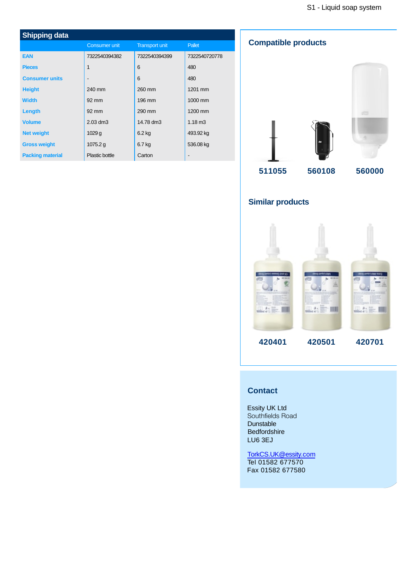| <b>Shipping data</b>    |                              |                       |                   |  |
|-------------------------|------------------------------|-----------------------|-------------------|--|
|                         | <b>Consumer unit</b>         | <b>Transport unit</b> | Pallet            |  |
| <b>EAN</b>              | 7322540394382                | 7322540394399         | 7322540720778     |  |
| <b>Pieces</b>           | 1                            | 6                     | 480               |  |
| <b>Consumer units</b>   | $\qquad \qquad \blacksquare$ | 6                     | 480               |  |
| <b>Height</b>           | 240 mm                       | 260 mm                | 1201 mm           |  |
| <b>Width</b>            | $92 \text{ mm}$              | 196 mm                | 1000 mm           |  |
| Length                  | $92 \text{ mm}$              | 290 mm                | 1200 mm           |  |
| <b>Volume</b>           | 2.03 dm3                     | 14.78 dm3             | $1.18 \text{ m}3$ |  |
| <b>Net weight</b>       | 1029g                        | $6.2$ kg              | 493.92 kg         |  |
| <b>Gross weight</b>     | 1075.2 g                     | 6.7 kg                | 536.08 kg         |  |
| <b>Packing material</b> | Plastic bottle               | Carton                |                   |  |

## **Compatible products**



## **Similar products**



## **Contact**

Essity UK Ltd Southfields Road Dunstable Bedfordshire LU6 3EJ

TorkCS.UK@essity.com Tel 01582 677570 Fax 01582 677580